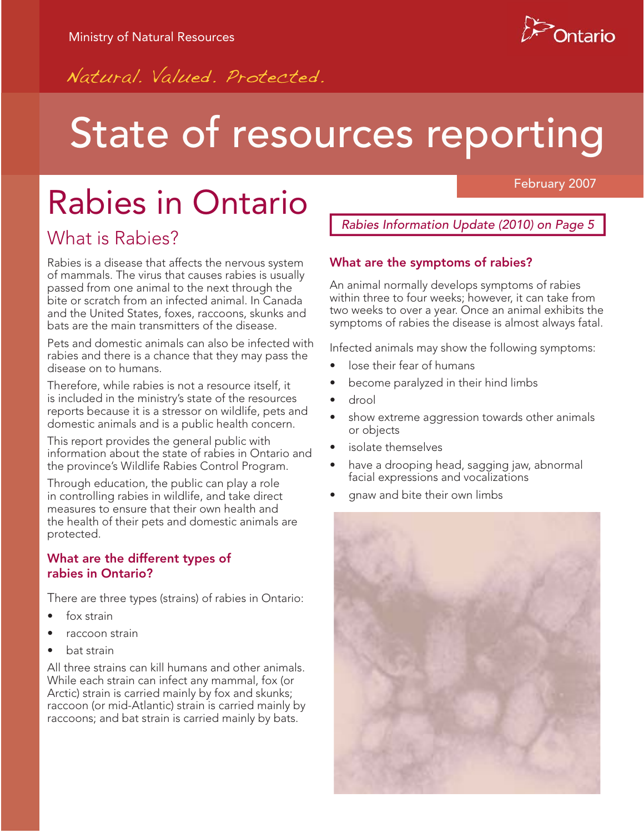

February 2007

Natural Valued Protected.

# State of resources reporting

# Rabies in Ontario

## What is Rabies?

Rabies is a disease that affects the nervous system of mammals. The virus that causes rabies is usually passed from one animal to the next through the bite or scratch from an infected animal. In Canada and the United States, foxes, raccoons, skunks and bats are the main transmitters of the disease.

Pets and domestic animals can also be infected with rabies and there is a chance that they may pass the disease on to humans.

Therefore, while rabies is not a resource itself, it is included in the ministry's state of the resources reports because it is a stressor on wildlife, pets and domestic animals and is a public health concern.

This report provides the general public with information about the state of rabies in Ontario and the province's Wildlife Rabies Control Program.

Through education, the public can play a role in controlling rabies in wildlife, and take direct measures to ensure that their own health and the health of their pets and domestic animals are protected.

#### **What are the different types of rabies in Ontario?**

There are three types (strains) of rabies in Ontario:

- fox strain
- raccoon strain
- bat strain

All three strains can kill humans and other animals. While each strain can infect any mammal, fox (or Arctic) strain is carried mainly by fox and skunks; raccoon (or mid-Atlantic) strain is carried mainly by raccoons; and bat strain is carried mainly by bats.

*Rabies Information Update (2010) on Page 5*

#### **What are the symptoms of rabies?**

An animal normally develops symptoms of rabies within three to four weeks; however, it can take from two weeks to over a year. Once an animal exhibits the symptoms of rabies the disease is almost always fatal.

Infected animals may show the following symptoms:

- lose their fear of humans
- become paralyzed in their hind limbs
- drool
- show extreme aggression towards other animals or objects
- isolate themselves
- have a drooping head, sagging jaw, abnormal facial expressions and vocalizations
- gnaw and bite their own limbs

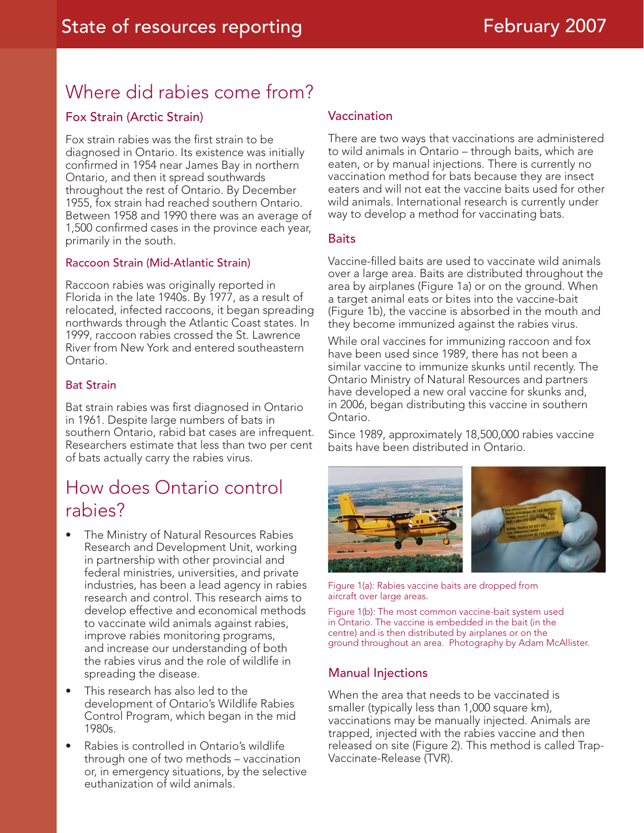## Where did rabies come from?

#### Fox Strain (Arctic Strain)

Fox strain rabies was the first strain to be diagnosed in Ontario. Its existence was initially confirmed in 1954 near James Bay in northern Ontario, and then it spread southwards throughout the rest of Ontario. By December 1955, fox strain had reached southern Ontario. Between 1958 and 1990 there was an average of 1,500 confirmed cases in the province each year, primarily in the south.

#### Raccoon Strain (Mid-Atlantic Strain)

Raccoon rabies was originally reported in Florida in the late 1940s. By 1977, as a result of relocated, infected raccoons, it began spreading northwards through the Atlantic Coast states. In 1999, raccoon rabies crossed the St. Lawrence River from New York and entered southeastern Ontario.

#### Bat Strain

Bat strain rabies was first diagnosed in Ontario in 1961. Despite large numbers of bats in southern Ontario, rabid bat cases are infrequent. Researchers estimate that less than two per cent of bats actually carry the rabies virus.

### How does Ontario control rabies?

- The Ministry of Natural Resources Rabies Research and Development Unit, working in partnership with other provincial and federal ministries, universities, and private industries, has been a lead agency in rabies research and control. This research aims to develop effective and economical methods to vaccinate wild animals against rabies, improve rabies monitoring programs, and increase our understanding of both the rabies virus and the role of wildlife in spreading the disease.
- This research has also led to the development of Ontario's Wildlife Rabies Control Program, which began in the mid 1980s.
- Rabies is controlled in Ontario's wildlife through one of two methods – vaccination or, in emergency situations, by the selective euthanization of wild animals.

#### Vaccination

There are two ways that vaccinations are administered to wild animals in Ontario – through baits, which are eaten, or by manual injections. There is currently no vaccination method for bats because they are insect eaters and will not eat the vaccine baits used for other wild animals. International research is currently under way to develop a method for vaccinating bats.

#### **Baits**

Vaccine-filled baits are used to vaccinate wild animals over a large area. Baits are distributed throughout the area by airplanes (Figure 1a) or on the ground. When a target animal eats or bites into the vaccine-bait (Figure 1b), the vaccine is absorbed in the mouth and they become immunized against the rabies virus.

While oral vaccines for immunizing raccoon and fox have been used since 1989, there has not been a similar vaccine to immunize skunks until recently. The Ontario Ministry of Natural Resources and partners have developed a new oral vaccine for skunks and, in 2006, began distributing this vaccine in southern Ontario.

Since 1989, approximately 18,500,000 rabies vaccine baits have been distributed in Ontario.



Figure 1(a): Rabies vaccine baits are dropped from aircraft over large areas.

Figure 1(b): The most common vaccine-bait system used in Ontario. The vaccine is embedded in the bait (in the centre) and is then distributed by airplanes or on the ground throughout an area. Photography by Adam McAllister.

#### Manual Injections

When the area that needs to be vaccinated is smaller (typically less than 1,000 square km), vaccinations may be manually injected. Animals are trapped, injected with the rabies vaccine and then released on site (Figure 2). This method is called Trap-Vaccinate-Release (TVR).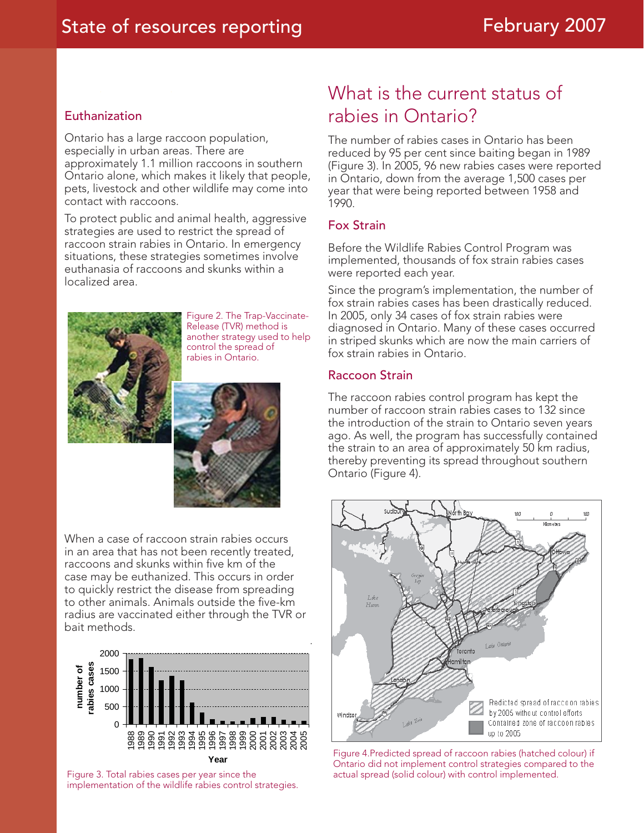#### Euthanization

Ontario has a large raccoon population, especially in urban areas. There are approximately 1.1 million raccoons in southern Ontario alone, which makes it likely that people, pets, livestock and other wildlife may come into contact with raccoons.

To protect public and animal health, aggressive strategies are used to restrict the spread of raccoon strain rabies in Ontario. In emergency situations, these strategies sometimes involve euthanasia of raccoons and skunks within a localized area.



Figure 2. The Trap-Vaccinate-Release (TVR) method is another strategy used to help control the spread of rabies in Ontario.

When a case of raccoon strain rabies occurs in an area that has not been recently treated, raccoons and skunks within five km of the case may be euthanized. This occurs in order to quickly restrict the disease from spreading to other animals. Animals outside the five-km radius are vaccinated either through the TVR or bait methods.



Figure 3. Total rabies cases per year since the actual spread (solid colour) with control implemented. implementation of the wildlife rabies control strategies.

# What is the current status of rabies in Ontario?

The number of rabies cases in Ontario has been reduced by 95 per cent since baiting began in 1989 (Figure 3). In 2005, 96 new rabies cases were reported in Ontario, down from the average 1,500 cases per year that were being reported between 1958 and 1990.

#### Fox Strain

Before the Wildlife Rabies Control Program was implemented, thousands of fox strain rabies cases were reported each year.

Since the program's implementation, the number of fox strain rabies cases has been drastically reduced. In 2005, only 34 cases of fox strain rabies were diagnosed in Ontario. Many of these cases occurred in striped skunks which are now the main carriers of fox strain rabies in Ontario.

#### Raccoon Strain

The raccoon rabies control program has kept the number of raccoon strain rabies cases to 132 since the introduction of the strain to Ontario seven years ago. As well, the program has successfully contained the strain to an area of approximately 50 km radius, thereby preventing its spread throughout southern Ontario (Figure 4).



Figure 4.Predicted spread of raccoon rabies (hatched colour) if Ontario did not implement control strategies compared to the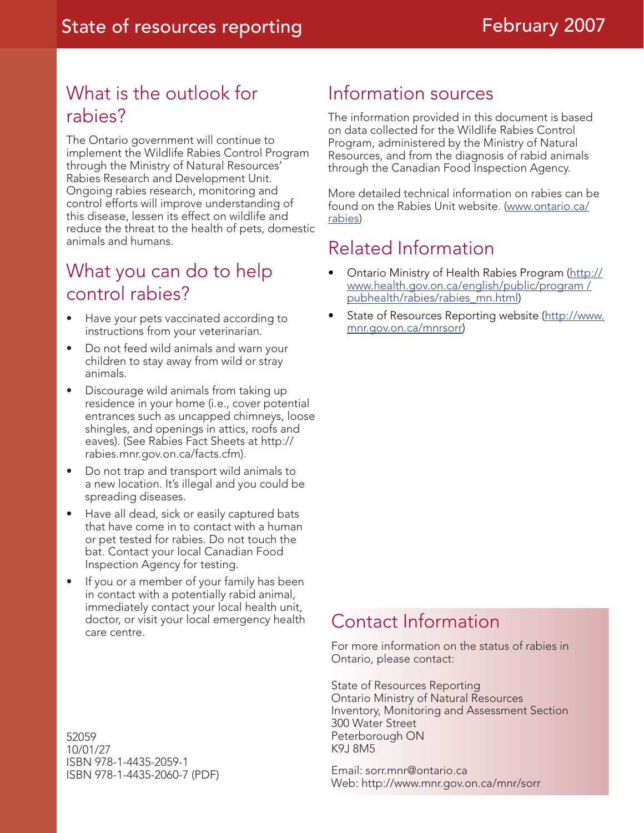# What is the outlook for rabies?

The Ontario government will continue to implement the Wildlife Rabies Control Program through the Ministry of Natural Resources' Rabies Research and Development Unit. Ongoing rabies research, monitoring and control efforts will improve understanding of this disease, lessen its effect on wildlife and reduce the threat to the health of pets, domestic animals and humans.

## What you can do to help control rabies?

- Have your pets vaccinated according to instructions from your veterinarian.
- Do not feed wild animals and warn your children to stay away from wild or stray animals.
- Discourage wild animals from taking up residence in your home (i.e., cover potential entrances such as uncapped chimneys, loose shingles, and openings in attics, roofs and eaves). (See Rabies Fact Sheets at http:// rabies.mnr.gov.on.ca/facts.cfm).
- Do not trap and transport wild animals to a new location. It's illegal and you could be spreading diseases.
- Have all dead, sick or easily captured bats that have come in to contact with a human or pet tested for rabies. Do not touch the bat. Contact your local Canadian Food Inspection Agency for testing.
- If you or a member of your family has been in contact with a potentially rabid animal, immediately contact your local health unit, doctor, or visit your local emergency health care centre.

## Information sources

The information provided in this document is based on data collected for the Wildlife Rabies Control Program, administered by the Ministry of Natural Resources, and from the diagnosis of rabid animals through the Canadian Food Inspection Agency.

More detailed technical information on rabies can be found on the Rabies Unit website. (www.ontario.ca/ rabies)

# Related Information

- Ontario Ministry of Health Rabies Program (http:// www.health.gov.on.ca/english/public/program / pubhealth/rabies/rabies\_mn.html)
- State of Resources Reporting website (http://www. mnr.gov.on.ca/mnrsorr)

## Contact Information

For more information on the status of rabies in Ontario, please contact:

State of Resources Reporting Ontario Ministry of Natural Resources Inventory, Monitoring and Assessment Section 300 Water Street Peterborough ON K9J 8M5

Email: sorr.mnr@ontario.ca Web: http://www.mnr.gov.on.ca/mnr/sorr

52059 10/01/27 ISBN 978-1-4435-2059-1 ISBN 978-1-4435-2060-7 (PDF)